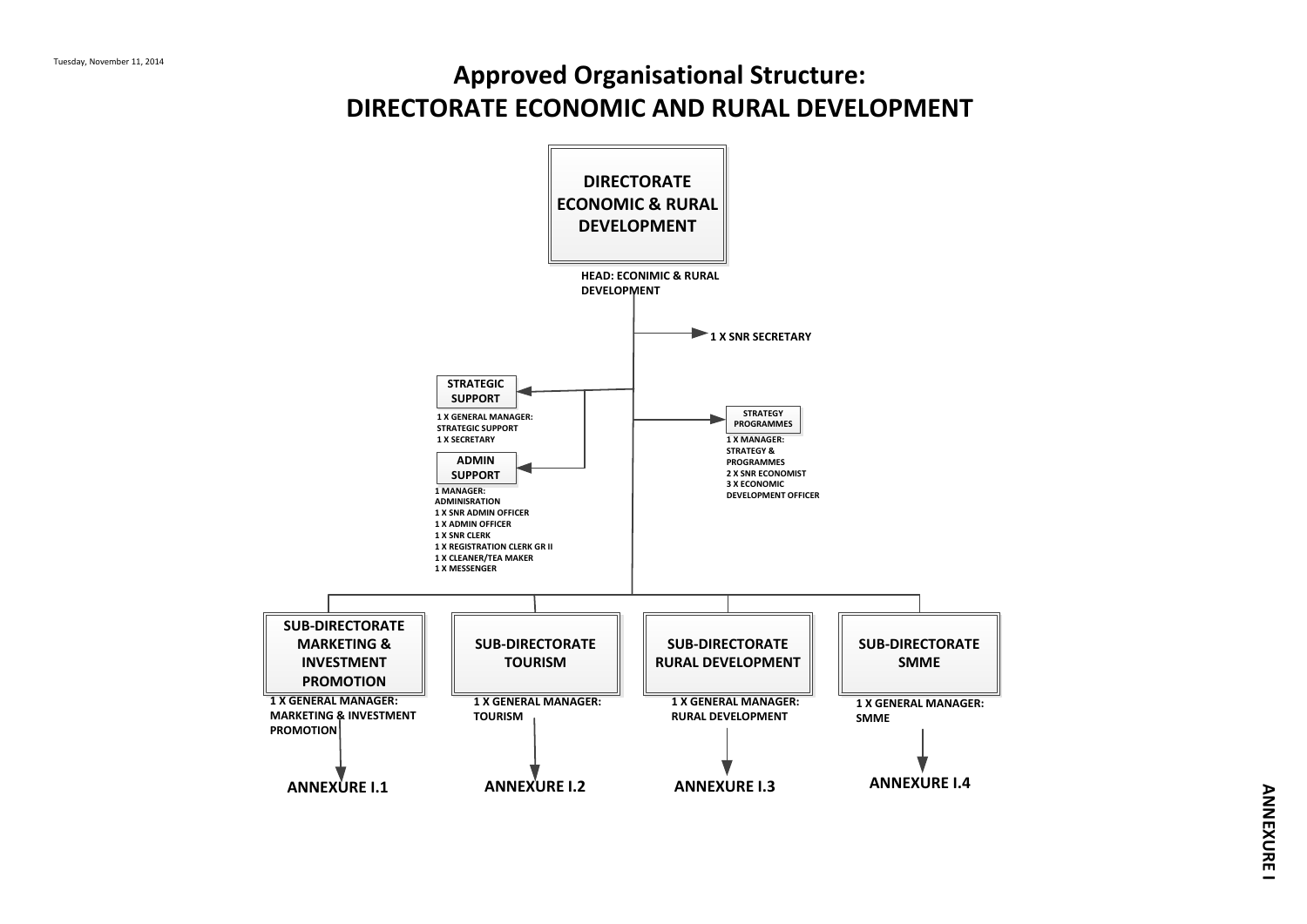# **Approved Organisational Structure: DIRECTORATE ECONOMIC AND RURAL DEVELOPMENT**

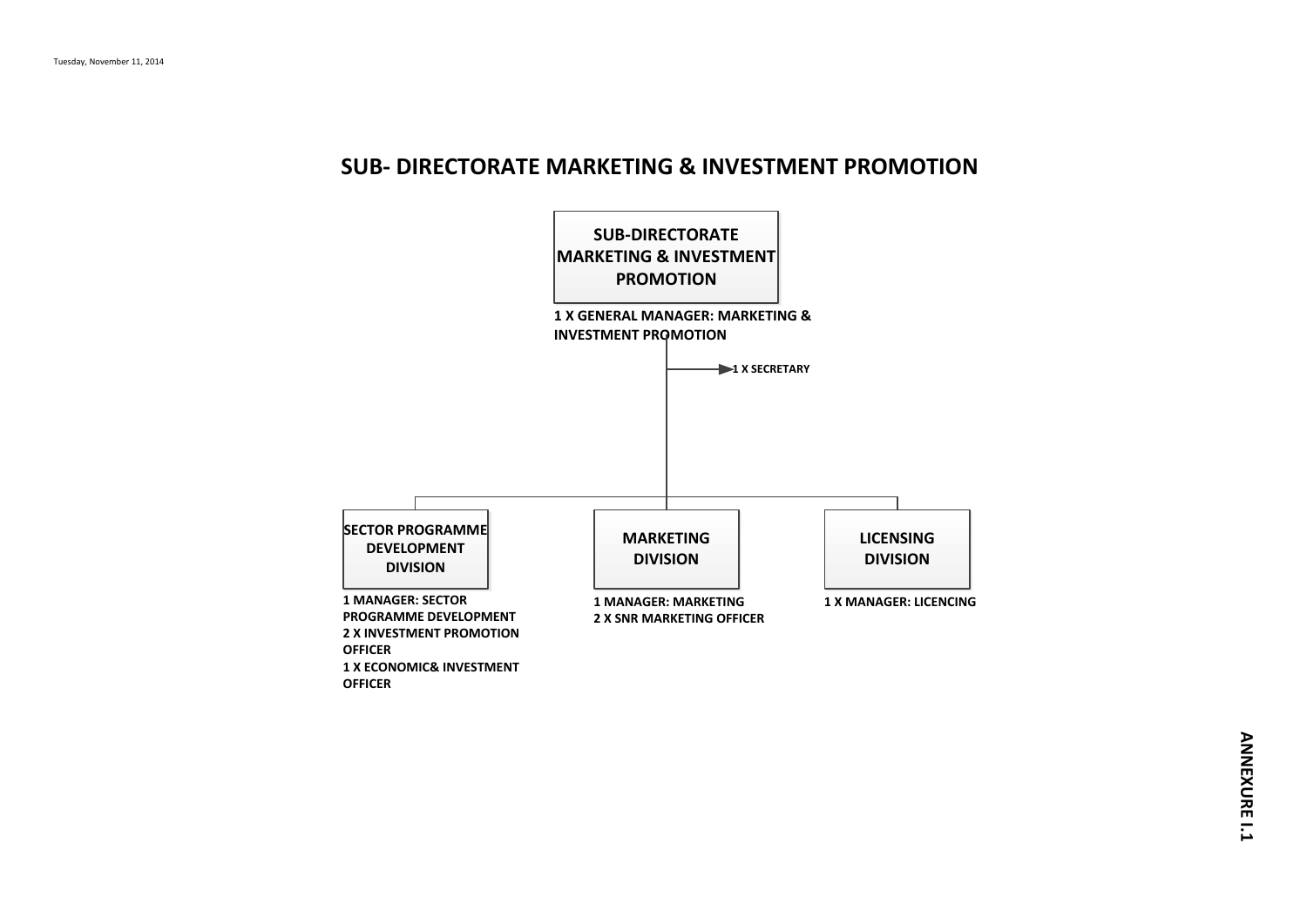#### **SUB- DIRECTORATE MARKETING & INVESTMENT PROMOTION**

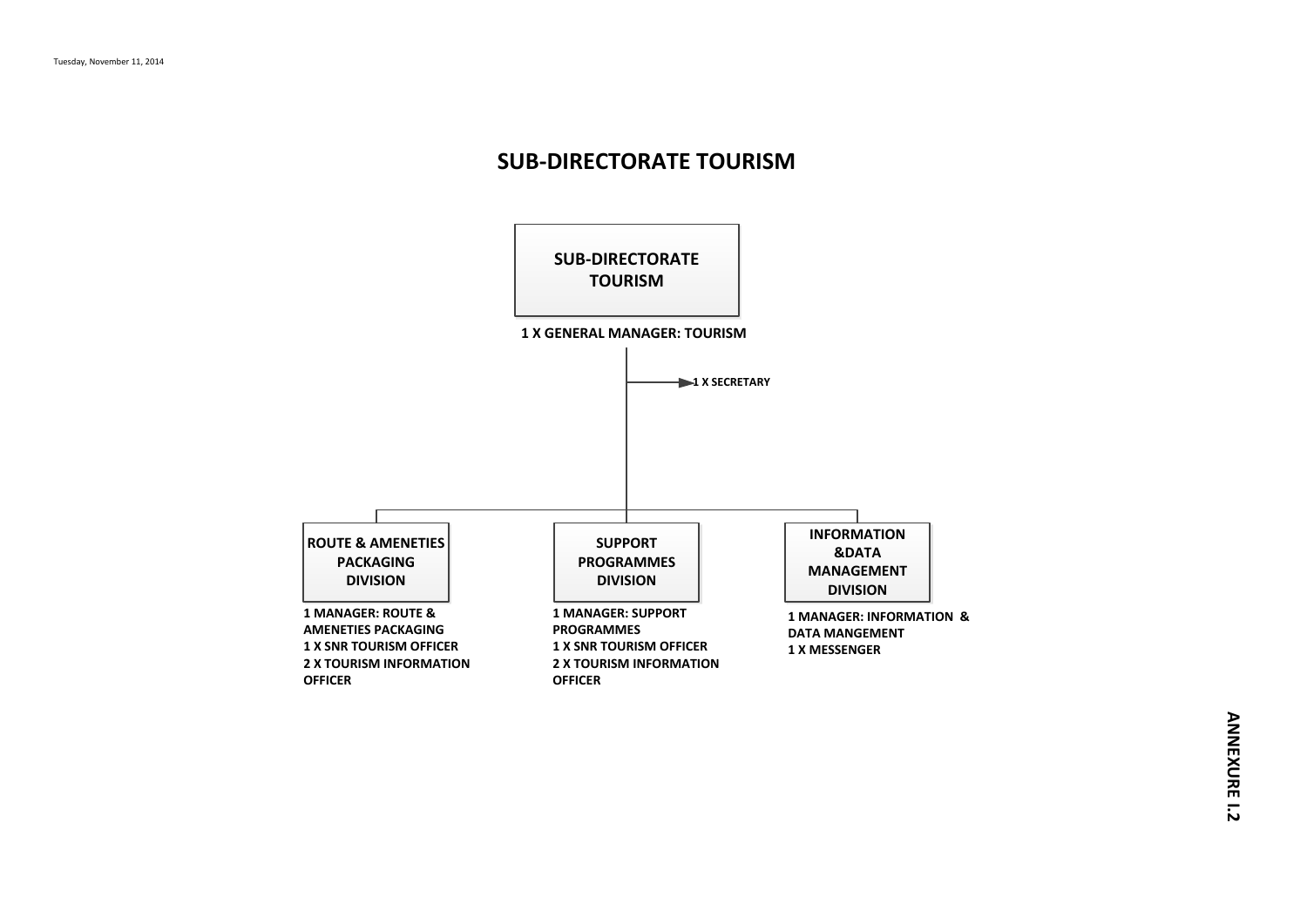### **SUB-DIRECTORATE TOURISM**

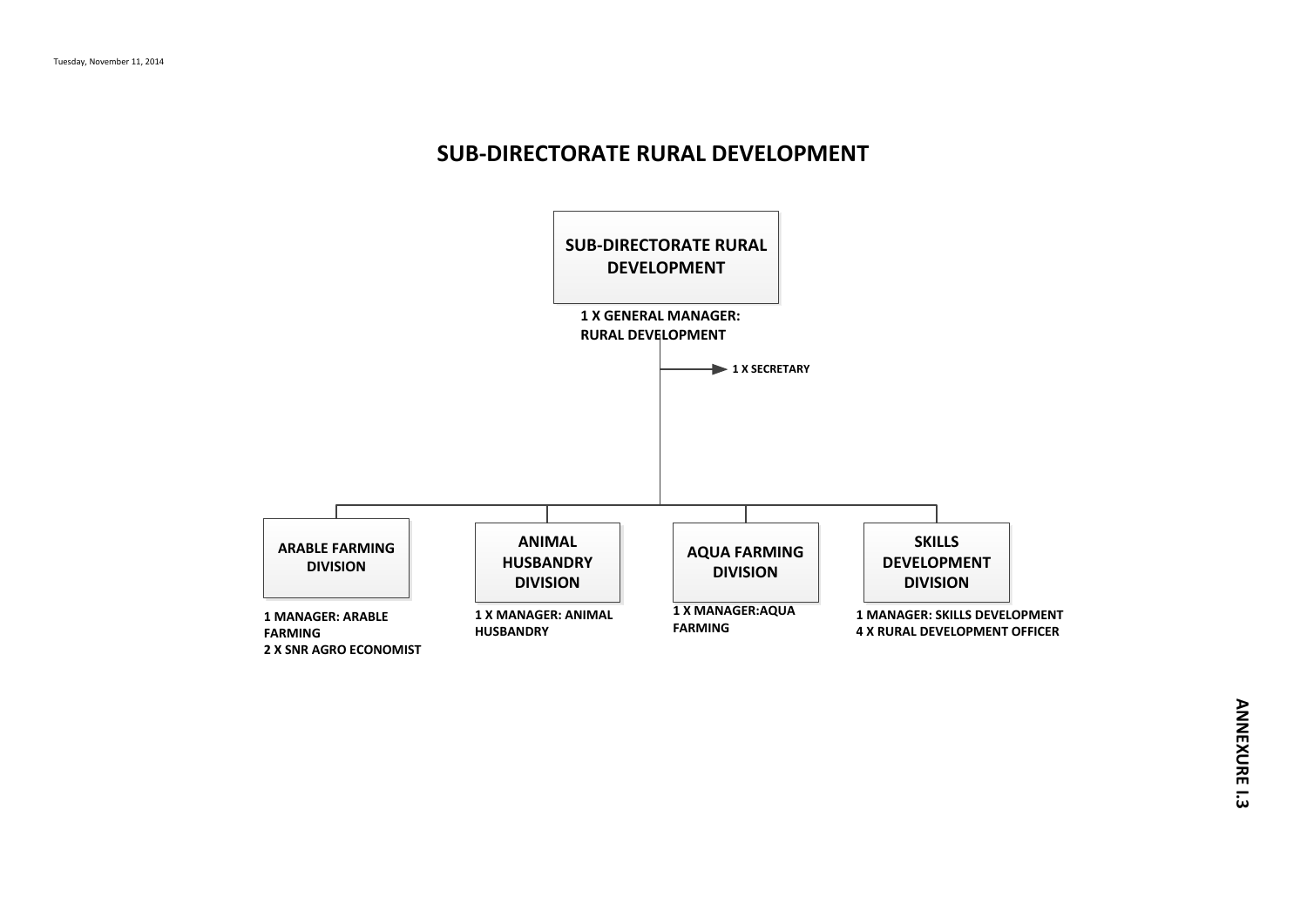#### **SUB-DIRECTORATE RURAL DEVELOPMENT**